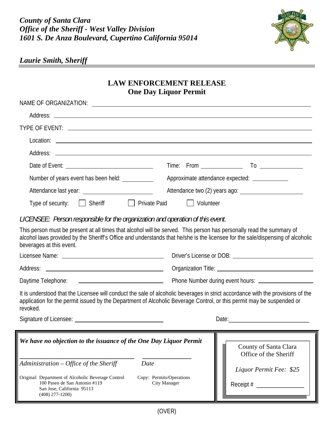

## *Laurie Smith, Sheriff*

(408) 277-1200)

## **LAW ENFORCEMENT RELEASE One Day Liquor Permit**

| Number of years event has been held:                                                                              | Approximate attendance expected: _____________                                                                                                                                                                                                           |  |  |
|-------------------------------------------------------------------------------------------------------------------|----------------------------------------------------------------------------------------------------------------------------------------------------------------------------------------------------------------------------------------------------------|--|--|
|                                                                                                                   |                                                                                                                                                                                                                                                          |  |  |
| Type of security: [ Sheriff<br><b>Private Paid</b>                                                                | <b>Volunteer</b>                                                                                                                                                                                                                                         |  |  |
| LICENSEE: Person responsible for the organization and operation of this event.                                    |                                                                                                                                                                                                                                                          |  |  |
| beverages at this event.                                                                                          | This person must be present at all times that alcohol will be served. This person has personally read the summary of<br>alcohol laws provided by the Sheriff's Office and understands that he/she is the licensee for the sale/dispensing of alcoholic   |  |  |
|                                                                                                                   |                                                                                                                                                                                                                                                          |  |  |
|                                                                                                                   |                                                                                                                                                                                                                                                          |  |  |
|                                                                                                                   |                                                                                                                                                                                                                                                          |  |  |
| revoked.                                                                                                          | It is understood that the Licensee will conduct the sale of alcoholic beverages in strict accordance with the provisions of the<br>application for the permit issued by the Department of Alcoholic Beverage Control, or this permit may be suspended or |  |  |
|                                                                                                                   | Date: $\frac{1}{2}$                                                                                                                                                                                                                                      |  |  |
| We have no objection to the issuance of the One Day Liquor Permit                                                 | County of Santa Clara<br>Office of the Sheriff                                                                                                                                                                                                           |  |  |
| Administration – Office of the Sheriff<br>Date                                                                    | Liquor Permit Fee: \$25                                                                                                                                                                                                                                  |  |  |
| Original: Department of Alcoholic Beverage Control<br>100 Paseo de San Antonio #119<br>San Jose, California 95113 | Copy: Permits/Operations<br><b>City Manager</b><br>Receipt #                                                                                                                                                                                             |  |  |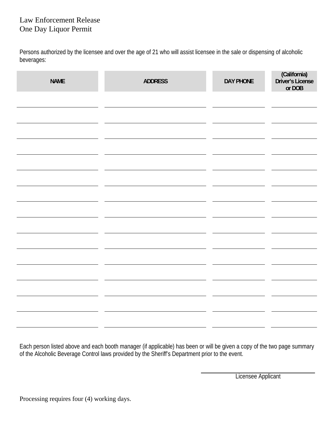## Law Enforcement Release One Day Liquor Permit

Persons authorized by the licensee and over the age of 21 who will assist licensee in the sale or dispensing of alcoholic beverages:

| <b>NAME</b> | <b>ADDRESS</b><br><b>DAY PHONE</b> |  | (California)<br>Driver's License<br>or DOB |
|-------------|------------------------------------|--|--------------------------------------------|
|             |                                    |  |                                            |
|             |                                    |  |                                            |
|             |                                    |  |                                            |
|             |                                    |  |                                            |
|             |                                    |  |                                            |
|             |                                    |  |                                            |
|             |                                    |  |                                            |
|             |                                    |  |                                            |
|             |                                    |  |                                            |
|             |                                    |  |                                            |
|             |                                    |  |                                            |
|             |                                    |  |                                            |
|             |                                    |  |                                            |
|             |                                    |  |                                            |
|             |                                    |  |                                            |

Each person listed above and each booth manager (if applicable) has been or will be given a copy of the two page summary of the Alcoholic Beverage Control laws provided by the Sheriff's Department prior to the event.

Licensee Applicant

Processing requires four (4) working days.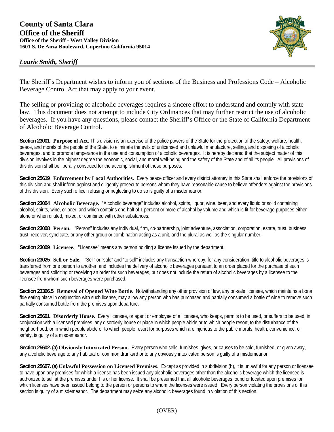## **County of Santa Clara Office of the Sheriff Office of the Sheriff - West Valley Division 1601 S. De Anza Boulevard, Cupertino California 95014**





The Sheriff's Department wishes to inform you of sections of the Business and Professions Code – Alcoholic Beverage Control Act that may apply to your event.

The selling or providing of alcoholic beverages requires a sincere effort to understand and comply with state law. This document does not attempt to include City Ordinances that may further restrict the use of alcoholic beverages. If you have any questions, please contact the Sheriff's Office or the State of California Department of Alcoholic Beverage Control.

**Section 23001**. **Purpose of Act.** This division is an exercise of the police powers of the State for the protection of the safety, welfare, health, peace, and morals of the people of the State, to eliminate the evils of unlicensed and unlawful manufacture, selling, and disposing of alcoholic beverages, and to promote temperance in the use and consumption of alcoholic beverages. It is hereby declared that the subject matter of this division involves in the highest degree the economic, social, and moral well-being and the safety of the State and of all its people. All provisions of this division shall be liberally construed for the accomplishment of these purposes.

**Section 25619**. **Enforcement by Local Authorities.** Every peace officer and every district attorney in this State shall enforce the provisions of this division and shall inform against and diligently prosecute persons whom they have reasonable cause to believe offenders against the provisions of this division. Every such officer refusing or neglecting to do so is guilty of a misdemeanor.

**Section 23004**. **Alcoholic Beverage.** "Alcoholic beverage" includes alcohol, spirits, liquor, wine, beer, and every liquid or solid containing alcohol, spirits, wine, or beer, and which contains one-half of 1 percent or more of alcohol by volume and which is fit for beverage purposes either alone or when diluted, mixed, or combined with other substances.

**Section 23008**. **Person.** "Person" includes any individual, firm, co-partnership, joint adventure, association, corporation, estate, trust, business trust, receiver, syndicate, or any other group or combination acting as a unit, and the plural as well as the singular number.

**Section 23009**. **Licensee.** "Licensee" means any person holding a license issued by the department.

**Section 23025**. **Sell or Sale.** "Sell" or "sale" and "to sell" includes any transaction whereby, for any consideration, title to alcoholic beverages is transferred from one person to another, and includes the delivery of alcoholic beverages pursuant to an order placed for the purchase of such beverages and soliciting or receiving an order for such beverages, but does not include the return of alcoholic beverages by a licensee to the licensee from whom such beverages were purchased.

**Section 23396.5**. **Removal of Opened Wine Bottle.** Notwithstanding any other provision of law, any on-sale licensee, which maintains a bona fide eating place in conjunction with such license, may allow any person who has purchased and partially consumed a bottle of wine to remove such partially consumed bottle from the premises upon departure.

**Section 25601**. **Disorderly House.** Every licensee, or agent or employee of a licensee, who keeps, permits to be used, or suffers to be used, in conjunction with a licensed premises, any disorderly house or place in which people abide or to which people resort, to the disturbance of the neighborhood, or in which people abide or to which people resort for purposes which are injurious to the public morals, health, convenience, or safety, is guilty of a misdemeanor.

**Section 25602. (a) Obviously Intoxicated Person.** Every person who sells, furnishes, gives, or causes to be sold, furnished, or given away, any alcoholic beverage to any habitual or common drunkard or to any obviously intoxicated person is guilty of a misdemeanor.

**Section 25607. (a) Unlawful Possession on Licensed Premises.** Except as provided in subdivision (b), it is unlawful for any person or licensee to have upon any premises for which a license has been issued any alcoholic beverages other than the alcoholic beverage which the licensee is authorized to sell at the premises under his or her license. It shall be presumed that all alcoholic beverages found or located upon premises for which licenses have been issued belong to the person or persons to whom the licenses were issued. Every person violating the provisions of this section is guilty of a misdemeanor. The department may seize any alcoholic beverages found in violation of this section.

(OVER)